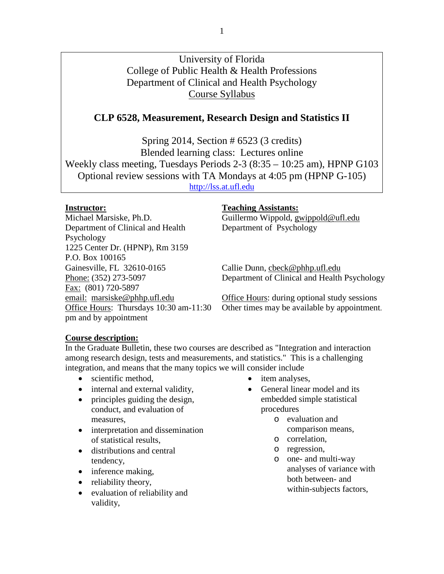# University of Florida College of Public Health & Health Professions Department of Clinical and Health Psychology Course Syllabus

# **CLP 6528, Measurement, Research Design and Statistics II**

Spring 2014, Section # 6523 (3 credits) Blended learning class: Lectures online Weekly class meeting, Tuesdays Periods 2-3 (8:35 – 10:25 am), HPNP G103 Optional review sessions with TA Mondays at 4:05 pm (HPNP G-105) [http://lss.at.ufl.edu](http://lss.at.ufl.edu/)

Michael Marsiske, Ph.D. Guillermo Wippold, gwippold@ufl.edu Department of Clinical and Health Psychology 1225 Center Dr. (HPNP), Rm 3159 P.O. Box 100165<br>Gainesville, FL 32610-0165 Fax: (801) 720-5897 pm and by appointment

#### **Instructor: Teaching Assistants:**

Department of Psychology

Callie Dunn, cbeck@phhp.ufl.edu Phone: (352) 273-5097 Department of Clinical and Health Psychology

email: marsiske@phhp.ufl.edu Office Hours: during optional study sessions Office Hours: Thursdays 10:30 am-11:30 Other times may be available by appointment.

#### **Course description:**

In the Graduate Bulletin, these two courses are described as "Integration and interaction among research design, tests and measurements, and statistics." This is a challenging integration, and means that the many topics we will consider include

- scientific method,
- internal and external validity,
- principles guiding the design, conduct, and evaluation of measures,
- interpretation and dissemination of statistical results,
- distributions and central tendency,
- inference making,
- reliability theory,
- evaluation of reliability and validity,
- item analyses,
- General linear model and its embedded simple statistical procedures
	- o evaluation and comparison means,
	- o correlation,
	- o regression,
	- o one- and multi-way analyses of variance with both between- and within-subjects factors,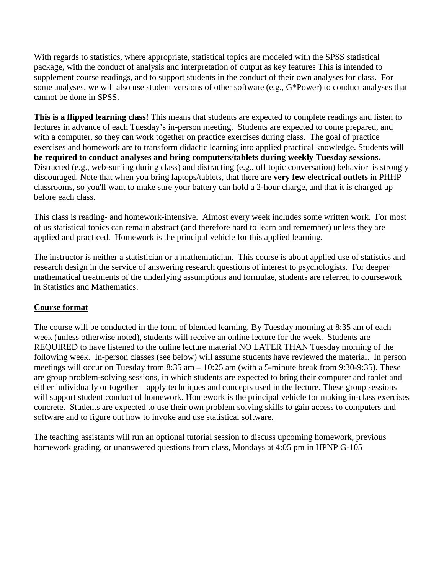With regards to statistics, where appropriate, statistical topics are modeled with the SPSS statistical package, with the conduct of analysis and interpretation of output as key features This is intended to supplement course readings, and to support students in the conduct of their own analyses for class. For some analyses, we will also use student versions of other software (e.g., G\*Power) to conduct analyses that cannot be done in SPSS.

**This is a flipped learning class!** This means that students are expected to complete readings and listen to lectures in advance of each Tuesday's in-person meeting. Students are expected to come prepared, and with a computer, so they can work together on practice exercises during class. The goal of practice exercises and homework are to transform didactic learning into applied practical knowledge. Students **will be required to conduct analyses and bring computers/tablets during weekly Tuesday sessions.** Distracted (e.g., web-surfing during class) and distracting (e.g., off topic conversation) behavior is strongly discouraged. Note that when you bring laptops/tablets, that there are **very few electrical outlets** in PHHP classrooms, so you'll want to make sure your battery can hold a 2-hour charge, and that it is charged up before each class.

This class is reading- and homework-intensive. Almost every week includes some written work. For most of us statistical topics can remain abstract (and therefore hard to learn and remember) unless they are applied and practiced. Homework is the principal vehicle for this applied learning.

The instructor is neither a statistician or a mathematician. This course is about applied use of statistics and research design in the service of answering research questions of interest to psychologists. For deeper mathematical treatments of the underlying assumptions and formulae, students are referred to coursework in Statistics and Mathematics.

# **Course format**

The course will be conducted in the form of blended learning. By Tuesday morning at 8:35 am of each week (unless otherwise noted), students will receive an online lecture for the week. Students are REQUIRED to have listened to the online lecture material NO LATER THAN Tuesday morning of the following week. In-person classes (see below) will assume students have reviewed the material. In person meetings will occur on Tuesday from 8:35 am – 10:25 am (with a 5-minute break from 9:30-9:35). These are group problem-solving sessions, in which students are expected to bring their computer and tablet and – either individually or together – apply techniques and concepts used in the lecture. These group sessions will support student conduct of homework. Homework is the principal vehicle for making in-class exercises concrete. Students are expected to use their own problem solving skills to gain access to computers and software and to figure out how to invoke and use statistical software.

The teaching assistants will run an optional tutorial session to discuss upcoming homework, previous homework grading, or unanswered questions from class, Mondays at 4:05 pm in HPNP G-105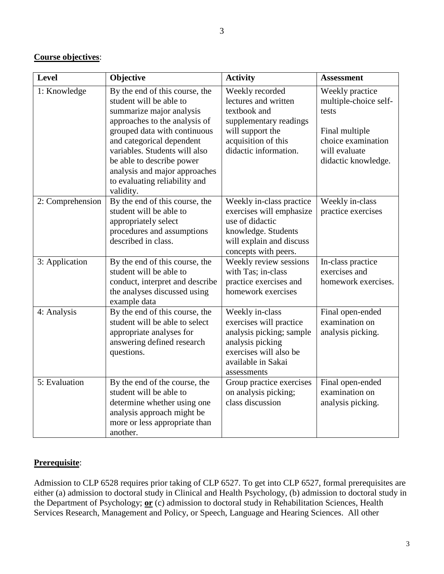# **Course objectives**:

| <b>Level</b>     | Objective                                                                                                                                                                                                                                                                                                                        | <b>Activity</b>                                                                                                                                           | <b>Assessment</b>                                                                                                                 |  |  |
|------------------|----------------------------------------------------------------------------------------------------------------------------------------------------------------------------------------------------------------------------------------------------------------------------------------------------------------------------------|-----------------------------------------------------------------------------------------------------------------------------------------------------------|-----------------------------------------------------------------------------------------------------------------------------------|--|--|
| 1: Knowledge     | By the end of this course, the<br>student will be able to<br>summarize major analysis<br>approaches to the analysis of<br>grouped data with continuous<br>and categorical dependent<br>variables. Students will also<br>be able to describe power<br>analysis and major approaches<br>to evaluating reliability and<br>validity. | Weekly recorded<br>lectures and written<br>textbook and<br>supplementary readings<br>will support the<br>acquisition of this<br>didactic information.     | Weekly practice<br>multiple-choice self-<br>tests<br>Final multiple<br>choice examination<br>will evaluate<br>didactic knowledge. |  |  |
| 2: Comprehension | By the end of this course, the<br>student will be able to<br>appropriately select<br>procedures and assumptions<br>described in class.                                                                                                                                                                                           | Weekly in-class practice<br>exercises will emphasize<br>use of didactic<br>knowledge. Students<br>will explain and discuss<br>concepts with peers.        | Weekly in-class<br>practice exercises                                                                                             |  |  |
| 3: Application   | By the end of this course, the<br>student will be able to<br>conduct, interpret and describe<br>the analyses discussed using<br>example data                                                                                                                                                                                     | Weekly review sessions<br>with Tas; in-class<br>practice exercises and<br>homework exercises                                                              | In-class practice<br>exercises and<br>homework exercises.                                                                         |  |  |
| 4: Analysis      | By the end of this course, the<br>student will be able to select<br>appropriate analyses for<br>answering defined research<br>questions.                                                                                                                                                                                         | Weekly in-class<br>exercises will practice<br>analysis picking; sample<br>analysis picking<br>exercises will also be<br>available in Sakai<br>assessments | Final open-ended<br>examination on<br>analysis picking.                                                                           |  |  |
| 5: Evaluation    | By the end of the course, the<br>student will be able to<br>determine whether using one<br>analysis approach might be<br>more or less appropriate than<br>another.                                                                                                                                                               | Group practice exercises<br>on analysis picking;<br>class discussion                                                                                      | Final open-ended<br>examination on<br>analysis picking.                                                                           |  |  |

# **Prerequisite**:

Admission to CLP 6528 requires prior taking of CLP 6527. To get into CLP 6527, formal prerequisites are either (a) admission to doctoral study in Clinical and Health Psychology, (b) admission to doctoral study in the Department of Psychology; **or** (c) admission to doctoral study in Rehabilitation Sciences, Health Services Research, Management and Policy, or Speech, Language and Hearing Sciences. All other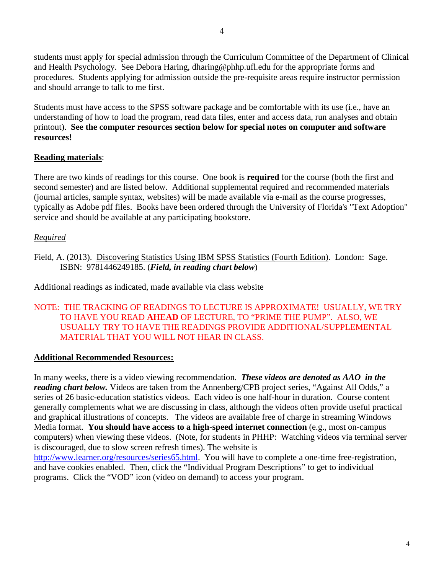students must apply for special admission through the Curriculum Committee of the Department of Clinical and Health Psychology. See Debora Haring, dharing@phhp.ufl.edu for the appropriate forms and procedures. Students applying for admission outside the pre-requisite areas require instructor permission and should arrange to talk to me first.

Students must have access to the SPSS software package and be comfortable with its use (i.e., have an understanding of how to load the program, read data files, enter and access data, run analyses and obtain printout). **See the computer resources section below for special notes on computer and software resources!**

# **Reading materials**:

There are two kinds of readings for this course. One book is **required** for the course (both the first and second semester) and are listed below. Additional supplemental required and recommended materials (journal articles, sample syntax, websites) will be made available via e-mail as the course progresses, typically as Adobe pdf files. Books have been ordered through the University of Florida's "Text Adoption" service and should be available at any participating bookstore.

# *Required*

Field, A. (2013). Discovering Statistics Using IBM SPSS Statistics (Fourth Edition). London: Sage. ISBN: 9781446249185. (*Field, in reading chart below*)

Additional readings as indicated, made available via class website

# NOTE: THE TRACKING OF READINGS TO LECTURE IS APPROXIMATE! USUALLY, WE TRY TO HAVE YOU READ **AHEAD** OF LECTURE, TO "PRIME THE PUMP". ALSO, WE USUALLY TRY TO HAVE THE READINGS PROVIDE ADDITIONAL/SUPPLEMENTAL MATERIAL THAT YOU WILL NOT HEAR IN CLASS.

# **Additional Recommended Resources:**

In many weeks, there is a video viewing recommendation. *These videos are denoted as AAO in the reading chart below.* Videos are taken from the Annenberg/CPB project series, "Against All Odds," a series of 26 basic-education statistics videos. Each video is one half-hour in duration. Course content generally complements what we are discussing in class, although the videos often provide useful practical and graphical illustrations of concepts. The videos are available free of charge in streaming Windows Media format. **You should have access to a high-speed internet connection** (e.g., most on-campus computers) when viewing these videos. (Note, for students in PHHP: Watching videos via terminal server is discouraged, due to slow screen refresh times). The website is [http://www.learner.org/resources/series65.html.](http://www.learner.org/resources/series65.html) You will have to complete a one-time free-registration,

and have cookies enabled. Then, click the "Individual Program Descriptions" to get to individual programs. Click the "VOD" icon (video on demand) to access your program.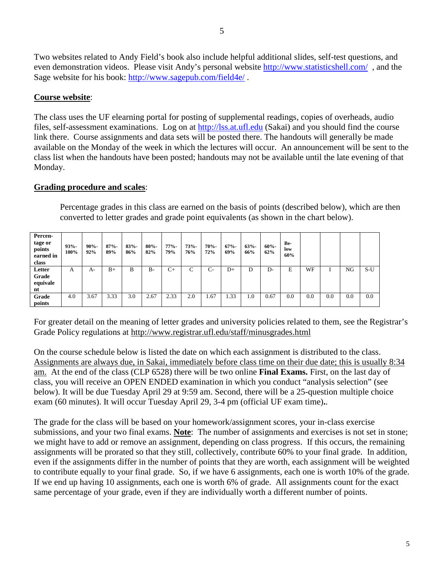Two websites related to Andy Field's book also include helpful additional slides, self-test questions, and even demonstration videos. Please visit Andy's personal website<http://www.statisticshell.com/>, and the Sage website for his book:<http://www.sagepub.com/field4e/> .

# **Course website**:

The class uses the UF elearning portal for posting of supplemental readings, copies of overheads, audio files, self-assessment examinations. Log on at [http://lss.at.ufl.edu](http://lss.at.ufl.edu/) (Sakai) and you should find the course link there. Course assignments and data sets will be posted there. The handouts will generally be made available on the Monday of the week in which the lectures will occur. An announcement will be sent to the class list when the handouts have been posted; handouts may not be available until the late evening of that Monday.

#### **Grading procedure and scales**:

Percentage grades in this class are earned on the basis of points (described below), which are then converted to letter grades and grade point equivalents (as shown in the chart below).

| Percen-<br>tage or<br>points<br>earned in<br>class | $93% -$<br>100% | $90% -$<br>92% | $87% -$<br>89% | $83% -$<br>86% | $80% -$<br>82% | $77% -$<br>79% | $73% -$<br>76% | $70% -$<br>72% | $67% -$<br>69% | $63% -$<br>66% | $60% -$<br>62% | Be-<br>low<br>60% |     |     |     |       |
|----------------------------------------------------|-----------------|----------------|----------------|----------------|----------------|----------------|----------------|----------------|----------------|----------------|----------------|-------------------|-----|-----|-----|-------|
| Letter                                             | А               | A-             | $B+$           | B              | $B-$           | $C+$           | C              | $C-$           | $D+$           | D              | D-             | E                 | WF  |     | NG  | $S-U$ |
| Grade<br>equivale                                  |                 |                |                |                |                |                |                |                |                |                |                |                   |     |     |     |       |
| nt                                                 |                 |                |                |                |                |                |                |                |                |                |                |                   |     |     |     |       |
| Grade                                              | 4.0             | 3.67           | 3.33           | 3.0            | 2.67           | 2.33           | 2.0            | 1.67           | 1.33           | 1.0            | 0.67           | 0.0               | 0.0 | 0.0 | 0.0 | 0.0   |
| points                                             |                 |                |                |                |                |                |                |                |                |                |                |                   |     |     |     |       |

For greater detail on the meaning of letter grades and university policies related to them, see the Registrar's Grade Policy regulations at http://www.registrar.ufl.edu/staff/minusgrades.html

On the course schedule below is listed the date on which each assignment is distributed to the class. Assignments are always due, in Sakai, immediately before class time on their due date; this is usually 8:34 am. At the end of the class (CLP 6528) there will be two online **Final Exams.** First, on the last day of class, you will receive an OPEN ENDED examination in which you conduct "analysis selection" (see below). It will be due Tuesday April 29 at 9:59 am. Second, there will be a 25-question multiple choice exam (60 minutes). It will occur Tuesday April 29, 3-4 pm (official UF exam time)**.**.

The grade for the class will be based on your homework/assignment scores, your in-class exercise submissions, and your two final exams. **Note**: The number of assignments and exercises is not set in stone; we might have to add or remove an assignment, depending on class progress. If this occurs, the remaining assignments will be prorated so that they still, collectively, contribute 60% to your final grade. In addition, even if the assignments differ in the number of points that they are worth, each assignment will be weighted to contribute equally to your final grade. So, if we have 6 assignments, each one is worth 10% of the grade. If we end up having 10 assignments, each one is worth 6% of grade. All assignments count for the exact same percentage of your grade, even if they are individually worth a different number of points.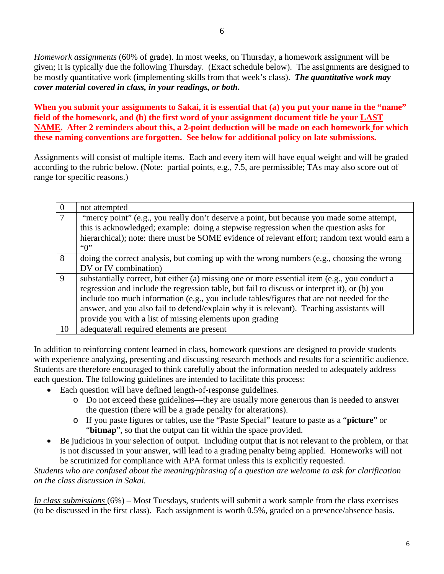*Homework assignments* (60% of grade). In most weeks, on Thursday, a homework assignment will be given; it is typically due the following Thursday. (Exact schedule below). The assignments are designed to be mostly quantitative work (implementing skills from that week's class). *The quantitative work may cover material covered in class, in your readings, or both.*

**When you submit your assignments to Sakai, it is essential that (a) you put your name in the "name" field of the homework, and (b) the first word of your assignment document title be your LAST NAME. After 2 reminders about this, a 2-point deduction will be made on each homework for which these naming conventions are forgotten. See below for additional policy on late submissions.**

Assignments will consist of multiple items. Each and every item will have equal weight and will be graded according to the rubric below. (Note: partial points, e.g., 7.5, are permissible; TAs may also score out of range for specific reasons.)

| $\Omega$ | not attempted                                                                                                                                                                                                                                                                                                                                                                                                                                         |
|----------|-------------------------------------------------------------------------------------------------------------------------------------------------------------------------------------------------------------------------------------------------------------------------------------------------------------------------------------------------------------------------------------------------------------------------------------------------------|
| $\tau$   | "mercy point" (e.g., you really don't deserve a point, but because you made some attempt,<br>this is acknowledged; example: doing a stepwise regression when the question asks for<br>hierarchical); note: there must be SOME evidence of relevant effort; random text would earn a<br>$\lq\lq 0$                                                                                                                                                     |
| 8        | doing the correct analysis, but coming up with the wrong numbers (e.g., choosing the wrong<br>DV or IV combination)                                                                                                                                                                                                                                                                                                                                   |
| -9       | substantially correct, but either (a) missing one or more essential item (e.g., you conduct a<br>regression and include the regression table, but fail to discuss or interpret it), or (b) you<br>include too much information (e.g., you include tables/figures that are not needed for the<br>answer, and you also fail to defend/explain why it is relevant). Teaching assistants will<br>provide you with a list of missing elements upon grading |
| 10       | adequate/all required elements are present                                                                                                                                                                                                                                                                                                                                                                                                            |

In addition to reinforcing content learned in class, homework questions are designed to provide students with experience analyzing, presenting and discussing research methods and results for a scientific audience. Students are therefore encouraged to think carefully about the information needed to adequately address each question. The following guidelines are intended to facilitate this process:

- Each question will have defined length-of-response guidelines.
	- o Do not exceed these guidelines—they are usually more generous than is needed to answer the question (there will be a grade penalty for alterations).
	- o If you paste figures or tables, use the "Paste Special" feature to paste as a "**picture**" or "**bitmap**", so that the output can fit within the space provided.
- Be judicious in your selection of output. Including output that is not relevant to the problem, or that is not discussed in your answer, will lead to a grading penalty being applied. Homeworks will not be scrutinized for compliance with APA format unless this is explicitly requested.

*Students who are confused about the meaning/phrasing of a question are welcome to ask for clarification on the class discussion in Sakai.*

*In class submissions* (6%) – Most Tuesdays, students will submit a work sample from the class exercises (to be discussed in the first class). Each assignment is worth 0.5%, graded on a presence/absence basis.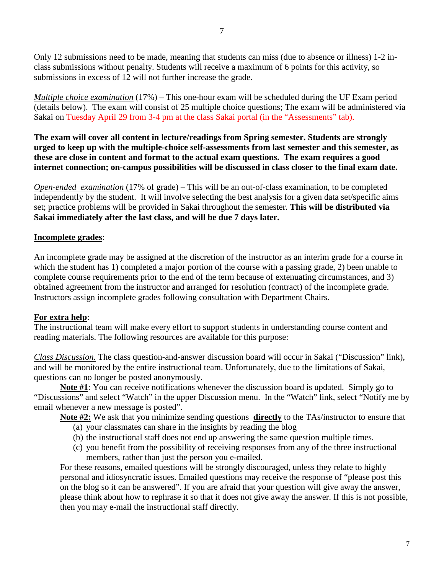Only 12 submissions need to be made, meaning that students can miss (due to absence or illness) 1-2 inclass submissions without penalty. Students will receive a maximum of 6 points for this activity, so submissions in excess of 12 will not further increase the grade.

*Multiple choice examination* (17%) – This one-hour exam will be scheduled during the UF Exam period (details below). The exam will consist of 25 multiple choice questions; The exam will be administered via Sakai on Tuesday April 29 from 3-4 pm at the class Sakai portal (in the "Assessments" tab).

**The exam will cover all content in lecture/readings from Spring semester. Students are strongly urged to keep up with the multiple-choice self-assessments from last semester and this semester, as these are close in content and format to the actual exam questions. The exam requires a good internet connection; on-campus possibilities will be discussed in class closer to the final exam date.**

*Open-ended examination* (17% of grade) – This will be an out-of-class examination, to be completed independently by the student. It will involve selecting the best analysis for a given data set/specific aims set; practice problems will be provided in Sakai throughout the semester. **This will be distributed via Sakai immediately after the last class, and will be due 7 days later.**

# **Incomplete grades**:

An incomplete grade may be assigned at the discretion of the instructor as an interim grade for a course in which the student has 1) completed a major portion of the course with a passing grade, 2) been unable to complete course requirements prior to the end of the term because of extenuating circumstances, and 3) obtained agreement from the instructor and arranged for resolution (contract) of the incomplete grade. Instructors assign incomplete grades following consultation with Department Chairs.

# **For extra help**:

The instructional team will make every effort to support students in understanding course content and reading materials. The following resources are available for this purpose:

*Class Discussion.* The class question-and-answer discussion board will occur in Sakai ("Discussion" link), and will be monitored by the entire instructional team. Unfortunately, due to the limitations of Sakai, questions can no longer be posted anonymously.

**Note #1**: You can receive notifications whenever the discussion board is updated. Simply go to "Discussions" and select "Watch" in the upper Discussion menu. In the "Watch" link, select "Notify me by email whenever a new message is posted".

**Note #2:** We ask that you minimize sending questions **directly** to the TAs/instructor to ensure that

- (a) your classmates can share in the insights by reading the blog
- (b) the instructional staff does not end up answering the same question multiple times.
- (c) you benefit from the possibility of receiving responses from any of the three instructional members, rather than just the person you e-mailed.

For these reasons, emailed questions will be strongly discouraged, unless they relate to highly personal and idiosyncratic issues. Emailed questions may receive the response of "please post this on the blog so it can be answered". If you are afraid that your question will give away the answer, please think about how to rephrase it so that it does not give away the answer. If this is not possible, then you may e-mail the instructional staff directly.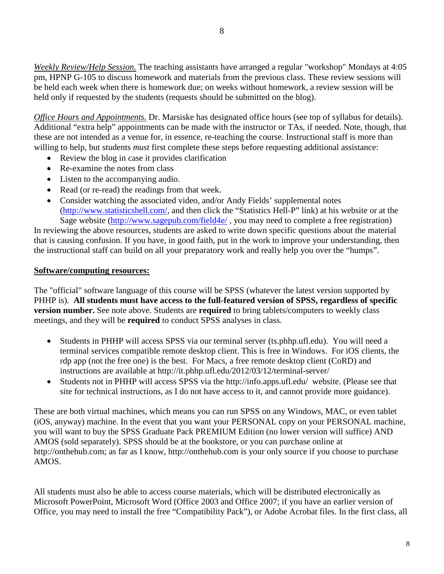*Weekly Review/Help Session.* The teaching assistants have arranged a regular "workshop" Mondays at 4:05 pm, HPNP G-105 to discuss homework and materials from the previous class. These review sessions will be held each week when there is homework due; on weeks without homework, a review session will be held only if requested by the students (requests should be submitted on the blog).

*Office Hours and Appointments.* Dr. Marsiske has designated office hours (see top of syllabus for details). Additional "extra help" appointments can be made with the instructor or TAs, if needed. Note, though, that these are not intended as a venue for, in essence, re-teaching the course. Instructional staff is more than willing to help, but students *must* first complete these steps before requesting additional assistance:

- Review the blog in case it provides clarification
- Re-examine the notes from class
- Listen to the accompanying audio.
- Read (or re-read) the readings from that week.
- Consider watching the associated video, and/or Andy Fields' supplemental notes [\(http://www.statisticshell.com/,](http://www.statisticshell.com/) and then click the "Statistics Hell-P" link) at his website or at the Sage website [\(http://www.sagepub.com/field4e/](http://www.sagepub.com/field4e/), you may need to complete a free registration)

In reviewing the above resources, students are asked to write down specific questions about the material that is causing confusion. If you have, in good faith, put in the work to improve your understanding, then the instructional staff can build on all your preparatory work and really help you over the "humps".

#### **Software/computing resources:**

The "official" software language of this course will be SPSS (whatever the latest version supported by PHHP is). **All students must have access to the full-featured version of SPSS, regardless of specific version number.** See note above. Students are **required** to bring tablets/computers to weekly class meetings, and they will be **required** to conduct SPSS analyses in class.

- Students in PHHP will access SPSS via our terminal server (ts.phhp.ufl.edu). You will need a terminal services compatible remote desktop client. This is free in Windows. For iOS clients, the rdp app (not the free one) is the best. For Macs, a free remote desktop client (CoRD) and instructions are available at http://it.phhp.ufl.edu/2012/03/12/terminal-server/
- Students not in PHHP will access SPSS via the http://info.apps.ufl.edu/ website. (Please see that site for technical instructions, as I do not have access to it, and cannot provide more guidance).

These are both virtual machines, which means you can run SPSS on any Windows, MAC, or even tablet (iOS, anyway) machine. In the event that you want your PERSONAL copy on your PERSONAL machine, you will want to buy the SPSS Graduate Pack PREMIUM Edition (no lower version will suffice) AND AMOS (sold separately). SPSS should be at the bookstore, or you can purchase online at http://onthehub.com; as far as I know, http://onthehub.com is your only source if you choose to purchase AMOS.

All students must also be able to access course materials, which will be distributed electronically as Microsoft PowerPoint, Microsoft Word (Office 2003 and Office 2007; if you have an earlier version of Office, you may need to install the free "Compatibility Pack"), or Adobe Acrobat files. In the first class, all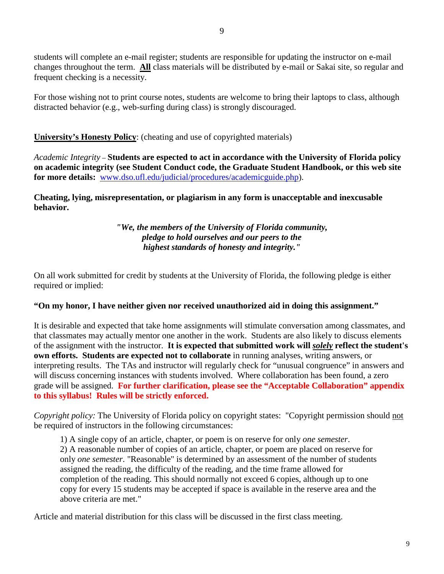changes throughout the term. **All** class materials will be distributed by e-mail or Sakai site, so regular and frequent checking is a necessity.

For those wishing not to print course notes, students are welcome to bring their laptops to class, although distracted behavior (e.g., web-surfing during class) is strongly discouraged.

# **University's Honesty Policy**: (cheating and use of copyrighted materials)

*Academic Integrity* – **Students are espected to act in accordance with the University of Florida policy on academic integrity (see Student Conduct code, the Graduate Student Handbook, or this web site for more details:** [www.dso.ufl.edu/judicial/procedures/academicguide.php\)](http://www.dso.ufl.edu/judicial/procedures/academicguide.php).

**Cheating, lying, misrepresentation, or plagiarism in any form is unacceptable and inexcusable behavior.**

> *"We, the members of the University of Florida community, pledge to hold ourselves and our peers to the highest standards of honesty and integrity."*

On all work submitted for credit by students at the University of Florida, the following pledge is either required or implied:

# **"On my honor, I have neither given nor received unauthorized aid in doing this assignment."**

It is desirable and expected that take home assignments will stimulate conversation among classmates, and that classmates may actually mentor one another in the work. Students are also likely to discuss elements of the assignment with the instructor. **It is expected that submitted work will** *solely* **reflect the student's own efforts. Students are expected not to collaborate** in running analyses, writing answers, or interpreting results. The TAs and instructor will regularly check for "unusual congruence" in answers and will discuss concerning instances with students involved. Where collaboration has been found, a zero grade will be assigned. **For further clarification, please see the "Acceptable Collaboration" appendix to this syllabus! Rules will be strictly enforced.**

*Copyright policy:* The University of Florida policy on copyright states: "Copyright permission should not be required of instructors in the following circumstances:

1) A single copy of an article, chapter, or poem is on reserve for only *one semester*.

2) A reasonable number of copies of an article, chapter, or poem are placed on reserve for only *one semester*. "Reasonable" is determined by an assessment of the number of students assigned the reading, the difficulty of the reading, and the time frame allowed for completion of the reading. This should normally not exceed 6 copies, although up to one copy for every 15 students may be accepted if space is available in the reserve area and the above criteria are met."

Article and material distribution for this class will be discussed in the first class meeting.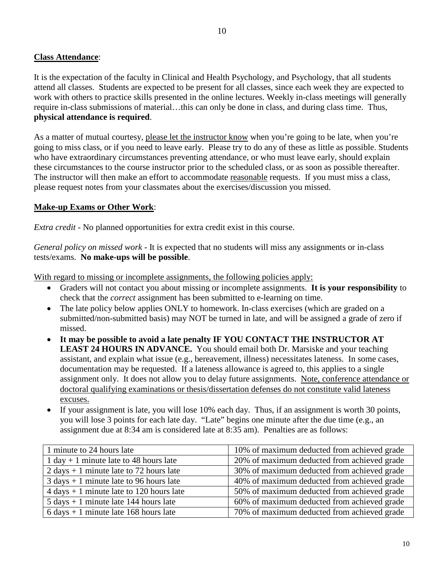It is the expectation of the faculty in Clinical and Health Psychology, and Psychology, that all students attend all classes. Students are expected to be present for all classes, since each week they are expected to work with others to practice skills presented in the online lectures. Weekly in-class meetings will generally require in-class submissions of material…this can only be done in class, and during class time. Thus, **physical attendance is required**.

As a matter of mutual courtesy, please let the instructor know when you're going to be late, when you're going to miss class, or if you need to leave early. Please try to do any of these as little as possible. Students who have extraordinary circumstances preventing attendance, or who must leave early, should explain these circumstances to the course instructor prior to the scheduled class, or as soon as possible thereafter. The instructor will then make an effort to accommodate reasonable requests. If you must miss a class, please request notes from your classmates about the exercises/discussion you missed.

#### **Make-up Exams or Other Work**:

*Extra credit* - No planned opportunities for extra credit exist in this course.

*General policy on missed work* - It is expected that no students will miss any assignments or in-class tests/exams. **No make-ups will be possible**.

With regard to missing or incomplete assignments, the following policies apply:

- Graders will not contact you about missing or incomplete assignments. **It is your responsibility** to check that the *correct* assignment has been submitted to e-learning on time.
- The late policy below applies ONLY to homework. In-class exercises (which are graded on a submitted/non-submitted basis) may NOT be turned in late, and will be assigned a grade of zero if missed.
- **It may be possible to avoid a late penalty IF YOU CONTACT THE INSTRUCTOR AT LEAST 24 HOURS IN ADVANCE.** You should email both Dr. Marsiske and your teaching assistant, and explain what issue (e.g., bereavement, illness) necessitates lateness. In some cases, documentation may be requested. If a lateness allowance is agreed to, this applies to a single assignment only. It does not allow you to delay future assignments. Note, conference attendance or doctoral qualifying examinations or thesis/dissertation defenses do not constitute valid lateness excuses.
- If your assignment is late, you will lose 10% each day. Thus, if an assignment is worth 30 points, you will lose 3 points for each late day. "Late" begins one minute after the due time (e.g., an assignment due at 8:34 am is considered late at 8:35 am). Penalties are as follows:

| 1 minute to 24 hours late                                  | 10% of maximum deducted from achieved grade |
|------------------------------------------------------------|---------------------------------------------|
| 1 day + 1 minute late to 48 hours late                     | 20% of maximum deducted from achieved grade |
| 2 days $+1$ minute late to 72 hours late                   | 30% of maximum deducted from achieved grade |
| $3 \text{ days} + 1 \text{ minute}$ late to 96 hours late  | 40% of maximum deducted from achieved grade |
| $4 \text{ days} + 1 \text{ minute}$ late to 120 hours late | 50% of maximum deducted from achieved grade |
| $5 \text{ days} + 1 \text{ minute}$ late 144 hours late    | 60% of maximum deducted from achieved grade |
| $6 \text{ days} + 1 \text{ minute}$ late 168 hours late    | 70% of maximum deducted from achieved grade |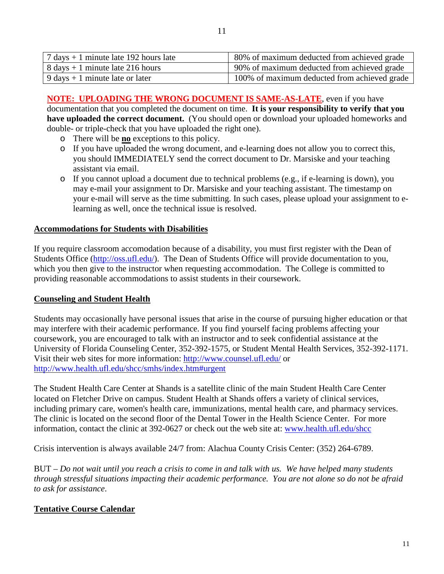| $7 \text{ days} + 1 \text{ minute}$ late 192 hours late | 80% of maximum deducted from achieved grade  |
|---------------------------------------------------------|----------------------------------------------|
| $8 \text{ days} + 1 \text{ minute}$ late 216 hours      | 90% of maximum deducted from achieved grade  |
| $9 \text{ days} + 1 \text{ minute}$ late or later       | 100% of maximum deducted from achieved grade |

**NOTE: UPLOADING THE WRONG DOCUMENT IS SAME-AS-LATE**, even if you have documentation that you completed the document on time. **It is your responsibility to verify that you have uploaded the correct document.** (You should open or download your uploaded homeworks and double- or triple-check that you have uploaded the right one).

- o There will be **no** exceptions to this policy.
- o If you have uploaded the wrong document, and e-learning does not allow you to correct this, you should IMMEDIATELY send the correct document to Dr. Marsiske and your teaching assistant via email.
- o If you cannot upload a document due to technical problems (e.g., if e-learning is down), you may e-mail your assignment to Dr. Marsiske and your teaching assistant. The timestamp on your e-mail will serve as the time submitting. In such cases, please upload your assignment to elearning as well, once the technical issue is resolved.

#### **Accommodations for Students with Disabilities**

If you require classroom accomodation because of a disability, you must first register with the Dean of Students Office [\(http://oss.ufl.edu/\)](http://oss.ufl.edu/). The Dean of Students Office will provide documentation to you, which you then give to the instructor when requesting accommodation. The College is committed to providing reasonable accommodations to assist students in their coursework.

#### **Counseling and Student Health**

Students may occasionally have personal issues that arise in the course of pursuing higher education or that may interfere with their academic performance. If you find yourself facing problems affecting your coursework, you are encouraged to talk with an instructor and to seek confidential assistance at the University of Florida Counseling Center, 352-392-1575, or Student Mental Health Services, 352-392-1171. Visit their web sites for more information:<http://www.counsel.ufl.edu/> or <http://www.health.ufl.edu/shcc/smhs/index.htm#urgent>

The Student Health Care Center at Shands is a satellite clinic of the main Student Health Care Center located on Fletcher Drive on campus. Student Health at Shands offers a variety of clinical services, including primary care, women's health care, immunizations, mental health care, and pharmacy services. The clinic is located on the second floor of the Dental Tower in the Health Science Center. For more information, contact the clinic at 392-0627 or check out the web site at: [www.health.ufl.edu/shcc](http://www.health.ufl.edu/shcc)

Crisis intervention is always available 24/7 from: Alachua County Crisis Center: (352) 264-6789.

BUT – *Do not wait until you reach a crisis to come in and talk with us. We have helped many students through stressful situations impacting their academic performance. You are not alone so do not be afraid to ask for assistance*.

# **Tentative Course Calendar**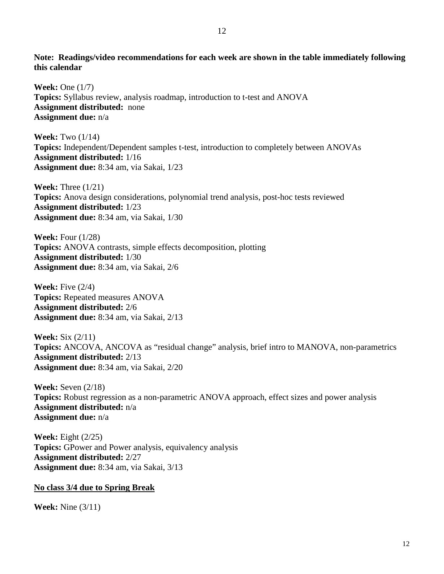**Note: Readings/video recommendations for each week are shown in the table immediately following this calendar**

**Week:** One (1/7) **Topics:** Syllabus review, analysis roadmap, introduction to t-test and ANOVA **Assignment distributed:** none **Assignment due:** n/a

**Week:** Two (1/14) **Topics:** Independent/Dependent samples t-test, introduction to completely between ANOVAs **Assignment distributed:** 1/16 **Assignment due:** 8:34 am, via Sakai, 1/23

**Week:** Three (1/21) **Topics:** Anova design considerations, polynomial trend analysis, post-hoc tests reviewed **Assignment distributed:** 1/23 **Assignment due:** 8:34 am, via Sakai, 1/30

**Week:** Four (1/28) **Topics:** ANOVA contrasts, simple effects decomposition, plotting **Assignment distributed:** 1/30 **Assignment due:** 8:34 am, via Sakai, 2/6

**Week:** Five (2/4) **Topics:** Repeated measures ANOVA **Assignment distributed:** 2/6 **Assignment due:** 8:34 am, via Sakai, 2/13

**Week:** Six (2/11) **Topics:** ANCOVA, ANCOVA as "residual change" analysis, brief intro to MANOVA, non-parametrics **Assignment distributed:** 2/13 **Assignment due:** 8:34 am, via Sakai, 2/20

**Week:** Seven (2/18) **Topics:** Robust regression as a non-parametric ANOVA approach, effect sizes and power analysis **Assignment distributed:** n/a **Assignment due:** n/a

**Week:** Eight (2/25) **Topics:** GPower and Power analysis, equivalency analysis **Assignment distributed:** 2/27 **Assignment due:** 8:34 am, via Sakai, 3/13

# **No class 3/4 due to Spring Break**

**Week:** Nine (3/11)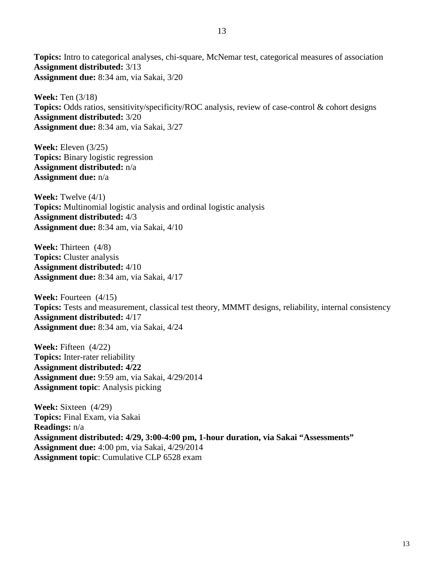**Topics:** Intro to categorical analyses, chi-square, McNemar test, categorical measures of association **Assignment distributed:** 3/13 **Assignment due:** 8:34 am, via Sakai, 3/20

**Week:** Ten (3/18) **Topics:** Odds ratios, sensitivity/specificity/ROC analysis, review of case-control & cohort designs **Assignment distributed:** 3/20 **Assignment due:** 8:34 am, via Sakai, 3/27

**Week:** Eleven (3/25) **Topics:** Binary logistic regression **Assignment distributed:** n/a **Assignment due:** n/a

**Week:** Twelve (4/1) **Topics:** Multinomial logistic analysis and ordinal logistic analysis **Assignment distributed:** 4/3 **Assignment due:** 8:34 am, via Sakai, 4/10

**Week:** Thirteen (4/8) **Topics:** Cluster analysis **Assignment distributed:** 4/10 **Assignment due:** 8:34 am, via Sakai, 4/17

**Week:** Fourteen  $(4/15)$ **Topics:** Tests and measurement, classical test theory, MMMT designs, reliability, internal consistency **Assignment distributed:** 4/17 **Assignment due:** 8:34 am, via Sakai, 4/24

**Week:** Fifteen (4/22) **Topics:** Inter-rater reliability **Assignment distributed: 4/22 Assignment due:** 9:59 am, via Sakai, 4/29/2014 **Assignment topic**: Analysis picking

**Week:** Sixteen (4/29) **Topics:** Final Exam, via Sakai **Readings:** n/a **Assignment distributed: 4/29, 3:00-4:00 pm, 1-hour duration, via Sakai "Assessments" Assignment due:** 4:00 pm, via Sakai, 4/29/2014 **Assignment topic**: Cumulative CLP 6528 exam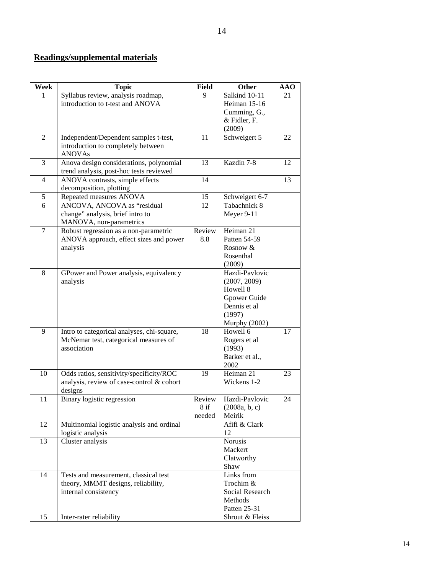# **Readings/supplemental materials**

| Week           | <b>Topic</b>                               | <b>Field</b> | Other                            | <b>AAO</b> |
|----------------|--------------------------------------------|--------------|----------------------------------|------------|
|                | Syllabus review, analysis roadmap,         | 9            | Salkind 10-11                    | 21         |
|                | introduction to t-test and ANOVA           |              | Heiman 15-16                     |            |
|                |                                            |              | Cumming, G.,                     |            |
|                |                                            |              | & Fidler, F.                     |            |
|                |                                            |              | (2009)                           |            |
| $\overline{2}$ | Independent/Dependent samples t-test,      | 11           | Schweigert 5                     | 22         |
|                | introduction to completely between         |              |                                  |            |
|                | <b>ANOVAs</b>                              |              |                                  |            |
| 3              | Anova design considerations, polynomial    | 13           | Kazdin 7-8                       | 12         |
|                | trend analysis, post-hoc tests reviewed    |              |                                  |            |
| $\overline{4}$ | ANOVA contrasts, simple effects            | 14           |                                  | 13         |
|                | decomposition, plotting                    |              |                                  |            |
| 5              | Repeated measures ANOVA                    | 15           | Schweigert 6-7                   |            |
| $\overline{6}$ | ANCOVA, ANCOVA as "residual                | 12           | Tabachnick 8                     |            |
|                | change" analysis, brief intro to           |              | Meyer 9-11                       |            |
|                | MANOVA, non-parametrics                    |              |                                  |            |
| $\overline{7}$ | Robust regression as a non-parametric      | Review       | Heiman 21                        |            |
|                | ANOVA approach, effect sizes and power     | 8.8          | Patten 54-59                     |            |
|                | analysis                                   |              | Rosnow &                         |            |
|                |                                            |              | Rosenthal                        |            |
|                |                                            |              | (2009)                           |            |
| 8              | GPower and Power analysis, equivalency     |              | Hazdi-Pavlovic                   |            |
|                | analysis                                   |              | (2007, 2009)                     |            |
|                |                                            |              | Howell 8                         |            |
|                |                                            |              | Gpower Guide                     |            |
|                |                                            |              | Dennis et al                     |            |
|                |                                            |              | (1997)                           |            |
| 9              | Intro to categorical analyses, chi-square, | 18           | <b>Murphy (2002)</b><br>Howell 6 | 17         |
|                | McNemar test, categorical measures of      |              | Rogers et al                     |            |
|                | association                                |              | (1993)                           |            |
|                |                                            |              | Barker et al.,                   |            |
|                |                                            |              | 2002                             |            |
| 10             | Odds ratios, sensitivity/specificity/ROC   | 19           | Heiman 21                        | 23         |
|                | analysis, review of case-control & cohort  |              | Wickens 1-2                      |            |
|                | designs                                    |              |                                  |            |
| 11             | Binary logistic regression                 | Review       | Hazdi-Pavlovic                   | 24         |
|                |                                            | $8$ if       | (2008a, b, c)                    |            |
|                |                                            | needed       | Meirik                           |            |
| 12             | Multinomial logistic analysis and ordinal  |              | Afifi & Clark                    |            |
|                | logistic analysis                          |              | 12                               |            |
| 13             | Cluster analysis                           |              | Norusis                          |            |
|                |                                            |              | Mackert                          |            |
|                |                                            |              | Clatworthy                       |            |
|                |                                            |              | Shaw                             |            |
| 14             | Tests and measurement, classical test      |              | Links from                       |            |
|                | theory, MMMT designs, reliability,         |              | Trochim &                        |            |
|                | internal consistency                       |              | Social Research                  |            |
|                |                                            |              | Methods                          |            |
|                |                                            |              | Patten 25-31                     |            |
| 15             | Inter-rater reliability                    |              | Shrout & Fleiss                  |            |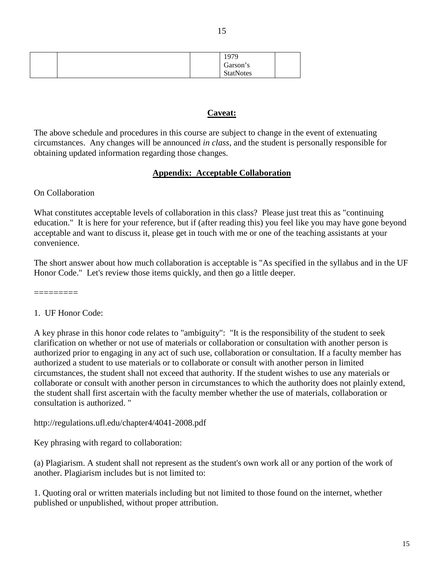|  | 1979             |  |
|--|------------------|--|
|  | Garson's         |  |
|  | <b>StatNotes</b> |  |

#### **Caveat:**

The above schedule and procedures in this course are subject to change in the event of extenuating circumstances. Any changes will be announced *in class*, and the student is personally responsible for obtaining updated information regarding those changes.

#### **Appendix: Acceptable Collaboration**

#### On Collaboration

What constitutes acceptable levels of collaboration in this class? Please just treat this as "continuing education." It is here for your reference, but if (after reading this) you feel like you may have gone beyond acceptable and want to discuss it, please get in touch with me or one of the teaching assistants at your convenience.

The short answer about how much collaboration is acceptable is "As specified in the syllabus and in the UF Honor Code." Let's review those items quickly, and then go a little deeper.

=========

1. UF Honor Code:

A key phrase in this honor code relates to "ambiguity": "It is the responsibility of the student to seek clarification on whether or not use of materials or collaboration or consultation with another person is authorized prior to engaging in any act of such use, collaboration or consultation. If a faculty member has authorized a student to use materials or to collaborate or consult with another person in limited circumstances, the student shall not exceed that authority. If the student wishes to use any materials or collaborate or consult with another person in circumstances to which the authority does not plainly extend, the student shall first ascertain with the faculty member whether the use of materials, collaboration or consultation is authorized. "

http://regulations.ufl.edu/chapter4/4041-2008.pdf

Key phrasing with regard to collaboration:

(a) Plagiarism. A student shall not represent as the student's own work all or any portion of the work of another. Plagiarism includes but is not limited to:

1. Quoting oral or written materials including but not limited to those found on the internet, whether published or unpublished, without proper attribution.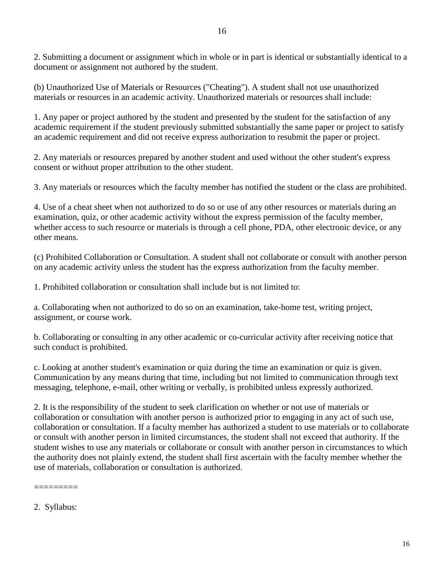2. Submitting a document or assignment which in whole or in part is identical or substantially identical to a document or assignment not authored by the student.

(b) Unauthorized Use of Materials or Resources ("Cheating"). A student shall not use unauthorized materials or resources in an academic activity. Unauthorized materials or resources shall include:

1. Any paper or project authored by the student and presented by the student for the satisfaction of any academic requirement if the student previously submitted substantially the same paper or project to satisfy an academic requirement and did not receive express authorization to resubmit the paper or project.

2. Any materials or resources prepared by another student and used without the other student's express consent or without proper attribution to the other student.

3. Any materials or resources which the faculty member has notified the student or the class are prohibited.

4. Use of a cheat sheet when not authorized to do so or use of any other resources or materials during an examination, quiz, or other academic activity without the express permission of the faculty member, whether access to such resource or materials is through a cell phone, PDA, other electronic device, or any other means.

(c) Prohibited Collaboration or Consultation. A student shall not collaborate or consult with another person on any academic activity unless the student has the express authorization from the faculty member.

1. Prohibited collaboration or consultation shall include but is not limited to:

a. Collaborating when not authorized to do so on an examination, take-home test, writing project, assignment, or course work.

b. Collaborating or consulting in any other academic or co-curricular activity after receiving notice that such conduct is prohibited.

c. Looking at another student's examination or quiz during the time an examination or quiz is given. Communication by any means during that time, including but not limited to communication through text messaging, telephone, e-mail, other writing or verbally, is prohibited unless expressly authorized.

2. It is the responsibility of the student to seek clarification on whether or not use of materials or collaboration or consultation with another person is authorized prior to engaging in any act of such use, collaboration or consultation. If a faculty member has authorized a student to use materials or to collaborate or consult with another person in limited circumstances, the student shall not exceed that authority. If the student wishes to use any materials or collaborate or consult with another person in circumstances to which the authority does not plainly extend, the student shall first ascertain with the faculty member whether the use of materials, collaboration or consultation is authorized.

2. Syllabus:

=========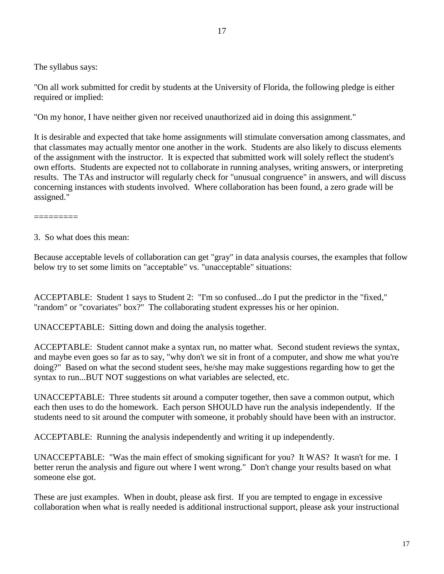The syllabus says:

"On all work submitted for credit by students at the University of Florida, the following pledge is either required or implied:

"On my honor, I have neither given nor received unauthorized aid in doing this assignment."

It is desirable and expected that take home assignments will stimulate conversation among classmates, and that classmates may actually mentor one another in the work. Students are also likely to discuss elements of the assignment with the instructor. It is expected that submitted work will solely reflect the student's own efforts. Students are expected not to collaborate in running analyses, writing answers, or interpreting results. The TAs and instructor will regularly check for "unusual congruence" in answers, and will discuss concerning instances with students involved. Where collaboration has been found, a zero grade will be assigned."

=========

3. So what does this mean:

Because acceptable levels of collaboration can get "gray" in data analysis courses, the examples that follow below try to set some limits on "acceptable" vs. "unacceptable" situations:

ACCEPTABLE: Student 1 says to Student 2: "I'm so confused...do I put the predictor in the "fixed," "random" or "covariates" box?" The collaborating student expresses his or her opinion.

UNACCEPTABLE: Sitting down and doing the analysis together.

ACCEPTABLE: Student cannot make a syntax run, no matter what. Second student reviews the syntax, and maybe even goes so far as to say, "why don't we sit in front of a computer, and show me what you're doing?" Based on what the second student sees, he/she may make suggestions regarding how to get the syntax to run...BUT NOT suggestions on what variables are selected, etc.

UNACCEPTABLE: Three students sit around a computer together, then save a common output, which each then uses to do the homework. Each person SHOULD have run the analysis independently. If the students need to sit around the computer with someone, it probably should have been with an instructor.

ACCEPTABLE: Running the analysis independently and writing it up independently.

UNACCEPTABLE: "Was the main effect of smoking significant for you? It WAS? It wasn't for me. I better rerun the analysis and figure out where I went wrong." Don't change your results based on what someone else got.

These are just examples. When in doubt, please ask first. If you are tempted to engage in excessive collaboration when what is really needed is additional instructional support, please ask your instructional